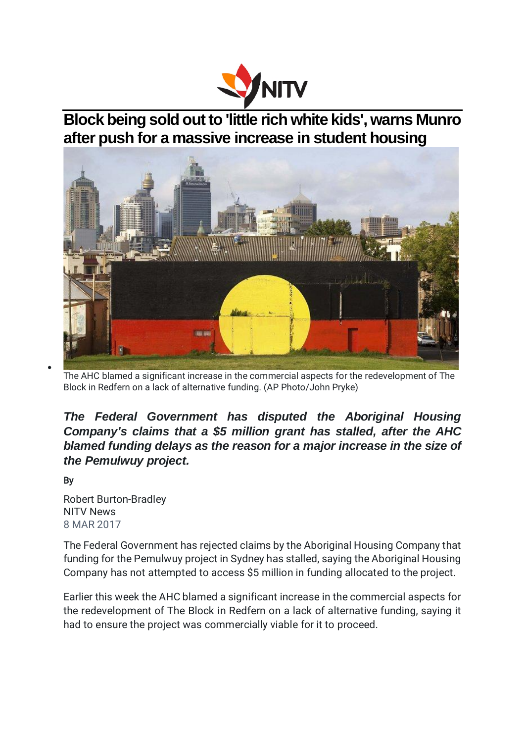

**Block being sold out to 'little rich white kids', warns Munro after push for a massive increase in student housing**



The AHC blamed a significant increase in the commercial aspects for the redevelopment of The Block in Redfern on a lack of alternative funding. (AP Photo/John Pryke)

*The Federal Government has disputed the Aboriginal Housing Company's claims that a \$5 million grant has stalled, after the AHC blamed funding delays as the reason for a major increase in the size of the Pemulwuy project.*

By

•

Robert Burton-Bradley NITV News 8 MAR 2017

The Federal Government has rejected claims by the Aboriginal Housing Company that funding for the Pemulwuy project in Sydney has stalled, saying the Aboriginal Housing Company has not attempted to access \$5 million in funding allocated to the project.

Earlier this week the AHC blamed a significant increase in the commercial aspects for the redevelopment of The Block in Redfern on a lack of alternative funding, saying it had to ensure the project was commercially viable for it to proceed.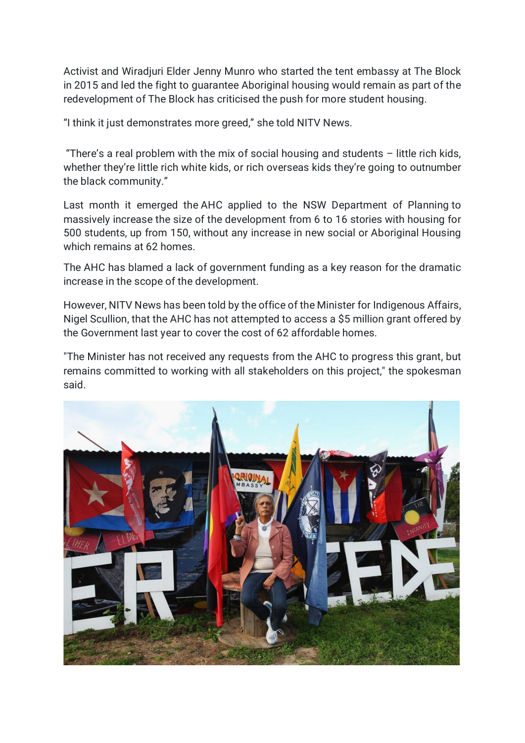Activist and Wiradjuri Elder Jenny Munro who started the tent embassy at The Block in 2015 and led the fight to guarantee Aboriginal housing would remain as part of the redevelopment of The Block has criticised the push for more student housing.

"I think it just demonstrates more greed," she told NITV News.

"There's a real problem with the mix of social housing and students – little rich kids, whether they're little rich white kids, or rich overseas kids they're going to outnumber the black community."

Last month it emerged the AHC applied to the NSW Department of Planning to massively increase the size of the development from 6 to 16 stories with housing for 500 students, up from 150, without any increase in new social or Aboriginal Housing which remains at 62 homes.

The AHC has blamed a lack of government funding as a key reason for the dramatic increase in the scope of the development.

However, NITV News has been told by the office of the Minister for Indigenous Affairs, Nigel Scullion, that the AHC has not attempted to access a \$5 million grant offered by the Government last year to cover the cost of 62 affordable homes.

"The Minister has not received any requests from the AHC to progress this grant, but remains committed to working with all stakeholders on this project," the spokesman said.